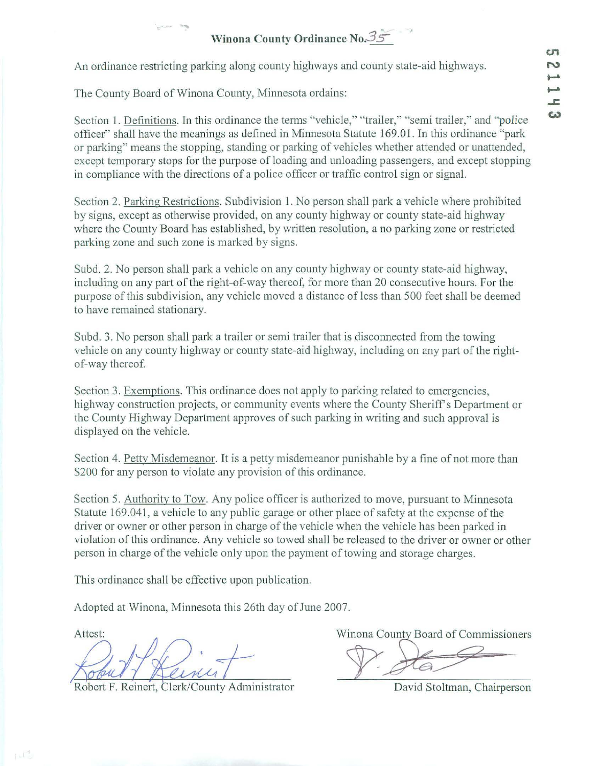## **Winona County Ordinance No. 35**

An ordinance restricting parking along county highways and county state-aid highways.

The County Board of Winona County, Minnesota ordains:

- ...

Section 1. Definitions. In this ordinance the terms "vehicle," "trailer," "semi trailer," and "police officer" shall have the meanings as defined in Minnesota Statute 169.01. In this ordinance "park or parking" means the stopping, standing or parking of vehicles whether attended or unattended. except temporary stops for the purpose of loading and unloading passengers, and except stopping in compliance with the directions of a police officer or traffic control sign or signal.

Section 2. Parking Restrictions. Subdivision 1. No person shall park a vehicle where prohibited by signs, except as otherwise provided, on any county highway or county state-aid highway where the County Board has established, by written resolution, a no parking zone or restricted parking zone and such zone is marked by signs.

Subd. 2. No person shall park a vehicle on any county highway or county state-aid highway, including on any part of the right-of-way thereof, for more than 20 consecutive hours. For the purpose of this subdivision, any vehicle moved a distance of less than 500 feet shall be deemed to have remained stationary.

Subd. 3. No person shall park a trailer or semi trailer that is disconnected from the towing vehicle on any county highway or county state-aid highway, including on any part of the rightof-way thereof.

Section 3. Exemptions. This ordinance does not apply to parking related to emergencies, highway construction projects, or community events where the County Sheriff's Department or the County Highway Department approves of such parking in writing and such approval is displayed on the vehicle.

Section 4. Petty Misdemeanor. It is a petty misdemeanor punishable by a fine of not more than \$200 for any person to violate any provision of this ordinance.

Section 5. Authority to Tow. Any police officer is authorized to move, pursuant to Minnesota Statute 169.041, a vehicle to any public garage or other place of safety at the expense of the driver or owner or other person in charge of the vehicle when the vehicle has been parked in violation of this ordinance. Any vehicle so towed shall be released to the driver or owner or other person in charge of the vehicle only upon the payment of towing and storage charges.

This ordinance shall be effective upon publication.

Adopted at Winona, Minnesota this 26th day of June 2007.

Robert F. Reinert, Clerk/County Administrator

Attest: Minona County Board of Commissioners

David Stoltman, Chairperson